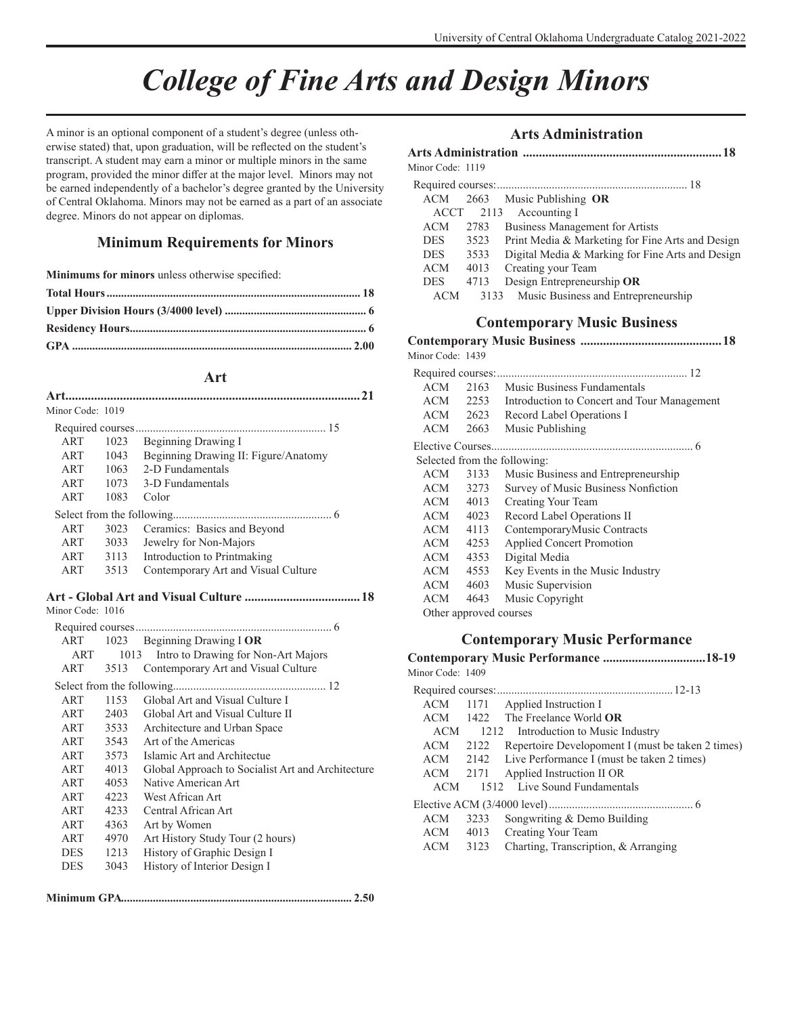## *College of Fine Arts and Design Minors*

A minor is an optional component of a student's degree (unless otherwise stated) that, upon graduation, will be reflected on the student's transcript. A student may earn a minor or multiple minors in the same program, provided the minor differ at the major level. Minors may not be earned independently of a bachelor's degree granted by the University of Central Oklahoma. Minors may not be earned as a part of an associate degree. Minors do not appear on diplomas.

### **Minimum Requirements for Minors**

| Minimums for minors unless otherwise specified: |  |
|-------------------------------------------------|--|
|                                                 |  |
|                                                 |  |
|                                                 |  |
|                                                 |  |

#### **Art**

| Art.             |      |                                      |  |
|------------------|------|--------------------------------------|--|
| Minor Code: 1019 |      |                                      |  |
|                  |      |                                      |  |
| ART              | 1023 | Beginning Drawing I                  |  |
| ART              | 1043 | Beginning Drawing II: Figure/Anatomy |  |
| ART              | 1063 | 2-D Fundamentals                     |  |
| ART              | 1073 | 3-D Fundamentals                     |  |
| ART              | 1083 | Color                                |  |
|                  |      |                                      |  |
| ART              | 3023 | Ceramics: Basics and Beyond          |  |
| ART              | 3033 | Jewelry for Non-Majors               |  |
| ART              | 3113 | Introduction to Printmaking          |  |
| ART              | 3513 | Contemporary Art and Visual Culture  |  |
|                  |      |                                      |  |

#### **Art - Global Art and Visual Culture ....................................18** Minor Code: 1016

| ART        | 1023 | Beginning Drawing I OR                            |
|------------|------|---------------------------------------------------|
| ART        | 1013 | Intro to Drawing for Non-Art Majors               |
| ART        | 3513 | Contemporary Art and Visual Culture               |
|            |      |                                                   |
| ART        | 1153 | Global Art and Visual Culture I                   |
| ART        | 2403 | Global Art and Visual Culture II                  |
| ART        | 3533 | Architecture and Urban Space                      |
| ART        | 3543 | Art of the Americas                               |
| ART        | 3573 | Islamic Art and Architectue                       |
| ART        | 4013 | Global Approach to Socialist Art and Architecture |
| ART        | 4053 | Native American Art                               |
| ART        | 4223 | West African Art                                  |
| ART        | 4233 | Central African Art                               |
| ART        | 4363 | Art by Women                                      |
| ART        | 4970 | Art History Study Tour (2 hours)                  |
| <b>DES</b> | 1213 | History of Graphic Design I                       |
| <b>DES</b> | 3043 | History of Interior Design I                      |
|            |      |                                                   |

**Minimum GPA................................................................................ 2.50**

#### **Arts Administration**

| Minor Code: 1119 |      |                                                       |
|------------------|------|-------------------------------------------------------|
|                  |      |                                                       |
|                  |      | ACM 2663 Music Publishing OR                          |
|                  |      | ACCT 2113 Accounting I                                |
| ACM              | 2783 | Business Management for Artists                       |
| <b>DES</b>       |      | 3523 Print Media & Marketing for Fine Arts and Design |
| <b>DES</b>       | 3533 | Digital Media & Marking for Fine Arts and Design      |
| <b>ACM</b>       | 4013 | Creating your Team                                    |
| <b>DES</b>       | 4713 | Design Entrepreneurship OR                            |
| <b>ACM</b>       |      | 3133 Music Business and Entrepreneurship              |
|                  |      |                                                       |

### **Contemporary Music Business**

| Minor Code: 1439 |                        |                                             |
|------------------|------------------------|---------------------------------------------|
|                  |                        |                                             |
| ACM              |                        | 2163 Music Business Fundamentals            |
|                  | ACM 2253               | Introduction to Concert and Tour Management |
|                  | ACM 2623               | Record Label Operations I                   |
|                  | ACM 2663               | Music Publishing                            |
|                  |                        |                                             |
|                  |                        | Selected from the following:                |
| ACM              | 3133                   | Music Business and Entrepreneurship         |
| ACM 3273         |                        | Survey of Music Business Nonfiction         |
| ACM              | 4013                   | Creating Your Team                          |
|                  | ACM 4023               | Record Label Operations II                  |
| ACM 4113         |                        | ContemporaryMusic Contracts                 |
| ACM              | 4253                   | Applied Concert Promotion                   |
| ACM              | 4353                   | Digital Media                               |
| ACM              | 4553                   | Key Events in the Music Industry            |
| ACM              | 4603                   | Music Supervision                           |
| ACM              | 4643                   | Music Copyright                             |
|                  | Other approved courses |                                             |

### **Contemporary Music Performance**

| Minor Code: 1409 |      |                                                     |
|------------------|------|-----------------------------------------------------|
|                  |      |                                                     |
|                  |      | ACM 1171 Applied Instruction I                      |
|                  |      | $ACM = 1422$ The Freelance World OR                 |
| ACM              | 1212 | Introduction to Music Industry                      |
| ACM 2122         |      | Repertoire Developoment I (must be taken 2 times)   |
|                  |      | ACM 2142 Live Performance I (must be taken 2 times) |
| ACM 2171         |      | Applied Instruction II OR                           |
| ACM              |      | 1512 Live Sound Fundamentals                        |
|                  |      |                                                     |
| ACM              | 3233 | Songwriting & Demo Building                         |
| ACM              | 4013 | Creating Your Team                                  |
| ACM              | 3123 | Charting, Transcription, & Arranging                |
|                  |      |                                                     |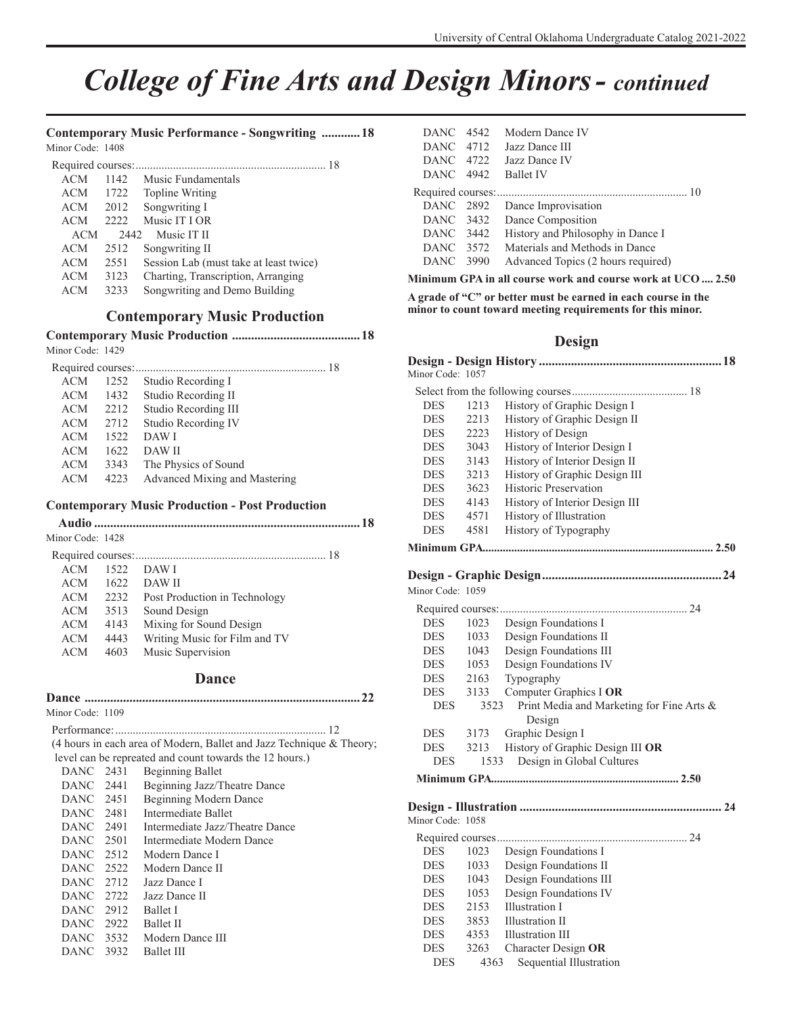## *College of Fine Arts and Design Minors- continued*

#### **Contemporary Music Performance - Songwriting ............18** Minor Code: 1408

| Required courses: |      | .                                      |
|-------------------|------|----------------------------------------|
| ACM               | 1142 | Music Fundamentals                     |
| ACM               | 1722 | Topline Writing                        |
| ACM               | 2012 | Songwriting I                          |
| ACM               | 2222 | Music IT I OR                          |
| ACM               | 2442 | Music IT II                            |
| ACM               | 2512 | Songwriting II                         |
| ACM               | 2551 | Session Lab (must take at least twice) |
| ACM               | 3123 | Charting, Transcription, Arranging     |
| ACM               | 3233 | Songwriting and Demo Building          |

#### **Contemporary Music Production**

#### **Contemporary Music Production ........................................18** Minor Code: 1429

| 1252 | Studio Recording I            |
|------|-------------------------------|
| 1432 | Studio Recording II           |
| 2212 | Studio Recording III          |
| 2712 | Studio Recording IV           |
| 1522 | DAW I                         |
| 1622 | <b>DAW II</b>                 |
| 3343 | The Physics of Sound          |
| 4223 | Advanced Mixing and Mastering |
|      | Required courses:             |

#### **Contemporary Music Production - Post Production**

| <b>Audio</b>     |      | 18                            |
|------------------|------|-------------------------------|
| Minor Code: 1428 |      |                               |
|                  |      |                               |
| ACM              | 1522 | DAW I                         |
| ACM              | 1622 | DAW II                        |
| <b>ACM</b>       | 2232 | Post Production in Technology |
| <b>ACM</b>       | 3513 | Sound Design                  |
| ACM              | 4143 | Mixing for Sound Design       |
| ACM              | 4443 | Writing Music for Film and TV |
| ACM              | 4603 | Music Supervision             |
|                  |      |                               |

#### **Dance**

|                  |      | 22                                                                   |
|------------------|------|----------------------------------------------------------------------|
| Minor Code: 1109 |      |                                                                      |
|                  |      |                                                                      |
|                  |      | (4 hours in each area of Modern, Ballet and Jazz Technique & Theory; |
|                  |      | level can be repreated and count towards the 12 hours.)              |
| DANC 2431        |      | <b>Beginning Ballet</b>                                              |
| DANC 2441        |      | Beginning Jazz/Theatre Dance                                         |
| DANC 2451        |      | Beginning Modern Dance                                               |
| DANC 2481        |      | Intermediate Ballet                                                  |
| DANC 2491        |      | Intermediate Jazz/Theatre Dance                                      |
| DANC 2501        |      | Intermediate Modern Dance                                            |
| DANC 2512        |      | Modern Dance I                                                       |
| DANC 2522        |      | Modern Dance II                                                      |
| DANC 2712        |      | Jazz Dance I                                                         |
| DANC 2722        |      | Jazz Dance II                                                        |
| DANC 2912        |      | <b>Ballet I</b>                                                      |
|                  |      | DANC 2922 Ballet II                                                  |
|                  |      | DANC 3532 Modern Dance III                                           |
| DANC.            | 3932 | <b>Ballet III</b>                                                    |
|                  |      |                                                                      |

| DANC 4542 | Modern Dance IV                                             |
|-----------|-------------------------------------------------------------|
| DANC 4712 | Jazz Dance III                                              |
| DANC 4722 | Jazz Dance IV                                               |
| DANC 4942 | <b>Ballet IV</b>                                            |
|           |                                                             |
| DANC 2892 | Dance Improvisation                                         |
| DANC 3432 | Dance Composition                                           |
| DANC 3442 | History and Philosophy in Dance I                           |
| DANC 3572 | Materials and Methods in Dance                              |
| DANC 3990 | Advanced Topics (2 hours required)                          |
|           | Minimum GPA in all course work and course work at UCO  2.50 |

**A grade of "C" or better must be earned in each course in the minor to count toward meeting requirements for this minor.**

#### **Design**

| Minor Code: 1057 |      |                                                     |
|------------------|------|-----------------------------------------------------|
|                  |      |                                                     |
| <b>DES</b>       | 1213 | History of Graphic Design I                         |
| <b>DES</b>       | 2213 | History of Graphic Design II                        |
| DES              | 2223 | History of Design                                   |
| DES              | 3043 | History of Interior Design I                        |
| <b>DES</b>       | 3143 | History of Interior Design II                       |
| <b>DES</b>       | 3213 | History of Graphic Design III                       |
| <b>DES</b>       | 3623 | <b>Historic Preservation</b>                        |
| DES              | 4143 | History of Interior Design III                      |
| <b>DES</b>       | 4571 | History of Illustration                             |
| <b>DES</b>       | 4581 | History of Typography                               |
|                  |      |                                                     |
|                  |      |                                                     |
|                  |      |                                                     |
| Minor Code: 1059 |      |                                                     |
|                  |      |                                                     |
| <b>DES</b>       | 1023 | Design Foundations I                                |
| <b>DES</b>       | 1033 | Design Foundations II                               |
| DES              | 1043 | Design Foundations III                              |
| DES              | 1053 | Design Foundations IV                               |
| <b>DES</b>       | 2163 | Typography                                          |
| <b>DES</b>       | 3133 | Computer Graphics I OR                              |
| <b>DES</b>       | 3523 | Print Media and Marketing for Fine Arts &<br>Design |
| <b>DES</b>       | 3173 | Graphic Design I                                    |
| DES              | 3213 | History of Graphic Design III OR                    |
| <b>DES</b>       |      | Design in Global Cultures<br>1533                   |
|                  |      |                                                     |
|                  |      |                                                     |
| Minor Code: 1058 |      |                                                     |
|                  |      |                                                     |
| <b>DES</b>       | 1023 | Design Foundations I                                |
| <b>DES</b>       | 1033 | Design Foundations II                               |
| <b>DES</b>       | 1043 | Design Foundations III                              |
| DES              | 1053 | Design Foundations IV                               |
| <b>DES</b>       | 2153 | Illustration I                                      |
| DES              | 3853 | Illustration II                                     |
| <b>DES</b>       | 4353 | Illustration III                                    |
| <b>DES</b>       | 3263 | Character Design OR                                 |
| <b>DES</b>       | 4363 | Sequential Illustration                             |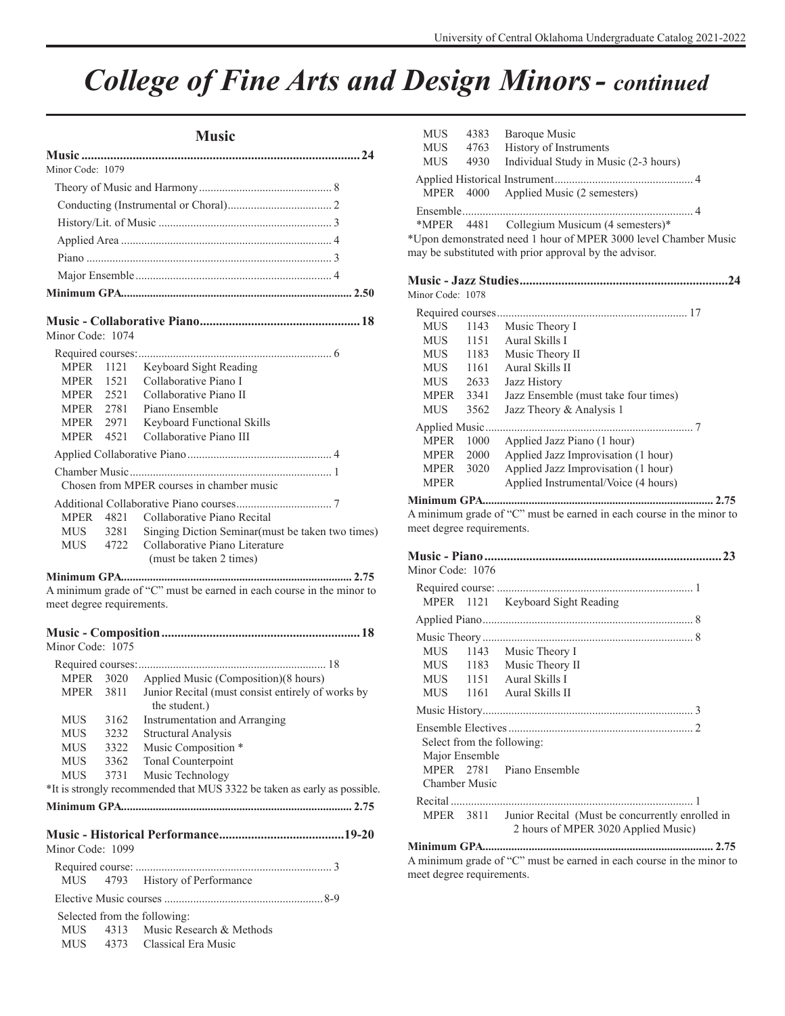## *College of Fine Arts and Design Minors- continued*

#### **Music**

| Minor Code: 1079          |      |                                                                      |
|---------------------------|------|----------------------------------------------------------------------|
|                           |      |                                                                      |
|                           |      |                                                                      |
|                           |      |                                                                      |
|                           |      |                                                                      |
|                           |      |                                                                      |
|                           |      |                                                                      |
|                           |      |                                                                      |
|                           |      |                                                                      |
|                           |      |                                                                      |
| Minor Code: 1074          |      |                                                                      |
|                           |      |                                                                      |
| MPER 1121                 |      | Keyboard Sight Reading                                               |
| <b>MPER</b> 1521          |      | Collaborative Piano I                                                |
| MPER 2521<br>MPER 2781    |      | Collaborative Piano II                                               |
|                           |      | Piano Ensemble                                                       |
| MPER 2971                 |      | Keyboard Functional Skills                                           |
| <b>MPER</b> 4521          |      | Collaborative Piano III                                              |
|                           |      |                                                                      |
|                           |      |                                                                      |
|                           |      | Chosen from MPER courses in chamber music                            |
|                           |      |                                                                      |
| MPER 4821                 |      | Collaborative Piano Recital                                          |
| MUS                       | 3281 | Singing Diction Seminar(must be taken two times)                     |
| MUS 4722                  |      | Collaborative Piano Literature                                       |
|                           |      | (must be taken 2 times)                                              |
|                           |      |                                                                      |
|                           |      | A minimum grade of "C" must be earned in each course in the minor to |
| meet degree requirements. |      |                                                                      |
|                           |      |                                                                      |
| Minor Code: 1075          |      |                                                                      |
|                           |      |                                                                      |
| MPER                      | 3020 | Applied Music (Composition)(8 hours)                                 |
| MPER                      | 3811 | Junior Recital (must consist entirely of works by<br>the student.)   |
| <b>MUS</b>                | 3162 | Instrumentation and Arranging                                        |
| <b>MUS</b>                | 3232 | <b>Structural Analysis</b>                                           |

|       | *It is strongly recommended that MUS 3322 be taken as early as possible. |
|-------|--------------------------------------------------------------------------|
|       | MUS 3731 Music Technology                                                |
| MUS   | 3362 Tonal Counterpoint                                                  |
| MUS   | 3322 Music Composition *                                                 |
| IVLOO | $J2J2$ Du actural Aliarysis                                              |

| Minor Code: 1099 |                                   |
|------------------|-----------------------------------|
|                  | MUS 4793 History of Performance   |
|                  |                                   |
|                  | Selected from the following:      |
|                  | MUS 4313 Music Research & Methods |
|                  | MUS 4373 Classical Era Music      |

| <b>MUS</b>       | 4383          | Baroque Music                                                   |  |  |
|------------------|---------------|-----------------------------------------------------------------|--|--|
| MUS              | 4763          | History of Instruments                                          |  |  |
| <b>MUS</b>       | 4930          | Individual Study in Music (2-3 hours)                           |  |  |
|                  |               |                                                                 |  |  |
| <b>MPER</b> 4000 |               | Applied Music (2 semesters)                                     |  |  |
|                  |               |                                                                 |  |  |
|                  |               | *MPER 4481 Collegium Musicum (4 semesters)*                     |  |  |
|                  |               | *Upon demonstrated need 1 hour of MPER 3000 level Chamber Music |  |  |
|                  |               | may be substituted with prior approval by the advisor.          |  |  |
|                  |               |                                                                 |  |  |
|                  |               |                                                                 |  |  |
| Minor Code: 1078 |               |                                                                 |  |  |
|                  |               |                                                                 |  |  |
| <b>MUS</b>       |               | 1143 Music Theory I                                             |  |  |
| <b>MUS</b>       | 1151          | Aural Skills I                                                  |  |  |
|                  |               | MUS 1183 Music Theory II                                        |  |  |
|                  |               | MUS 1161 Aural Skills II                                        |  |  |
| MUS 2633         |               | Jazz History                                                    |  |  |
| MPER 3341        |               | Jazz Ensemble (must take four times)                            |  |  |
| <b>MUS</b>       | 3562          | Jazz Theory & Analysis 1                                        |  |  |
|                  | Applied Music |                                                                 |  |  |
| <b>MPER</b>      | 1000          | Applied Jazz Piano (1 hour)                                     |  |  |
| <b>MPER</b>      | 2000          | Applied Jazz Improvisation (1 hour)                             |  |  |
| MPER             | 3020          | Applied Jazz Improvisation (1 hour)                             |  |  |
| <b>MPER</b>      |               | Applied Instrumental/Voice (4 hours)                            |  |  |
|                  |               |                                                                 |  |  |

A minimum grade of "C" must be earned in each course in the minor to meet degree requirements.

|                            |  | 23                                                                                                |
|----------------------------|--|---------------------------------------------------------------------------------------------------|
| Minor Code: 1076           |  |                                                                                                   |
|                            |  |                                                                                                   |
|                            |  | MPER 1121 Keyboard Sight Reading                                                                  |
|                            |  |                                                                                                   |
|                            |  |                                                                                                   |
|                            |  | MUS 1143 Music Theory I                                                                           |
|                            |  | MUS 1183 Music Theory II                                                                          |
|                            |  | MUS 1151 Aural Skills I                                                                           |
|                            |  | MUS 1161 Aural Skills II                                                                          |
|                            |  |                                                                                                   |
|                            |  |                                                                                                   |
| Select from the following: |  |                                                                                                   |
| Major Ensemble             |  |                                                                                                   |
|                            |  | MPER 2781 Piano Ensemble                                                                          |
| Chamber Music              |  |                                                                                                   |
|                            |  |                                                                                                   |
|                            |  | MPER 3811 Junior Recital (Must be concurrently enrolled in<br>2 hours of MPER 3020 Applied Music) |
|                            |  |                                                                                                   |
|                            |  | A minimum grade of "C" must be earned in each course in the minor to                              |

A minimum grade of "C" must be earned in each course in the minor to meet degree requirements.